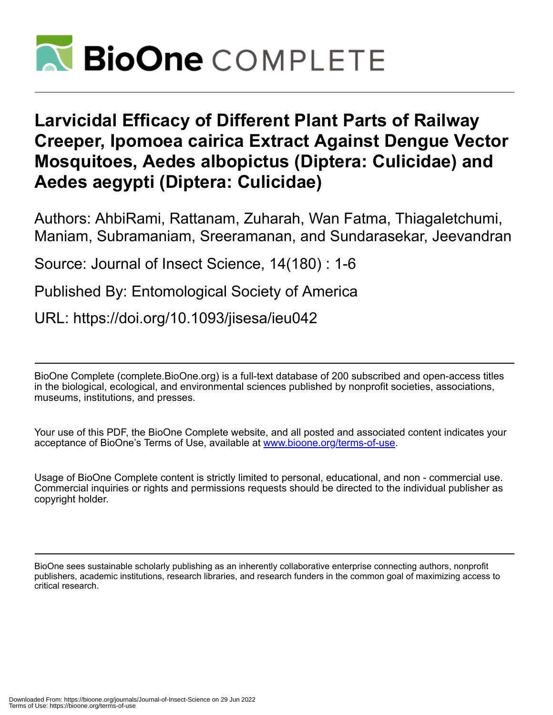

# **Larvicidal Efficacy of Different Plant Parts of Railway Creeper, Ipomoea cairica Extract Against Dengue Vector Mosquitoes, Aedes albopictus (Diptera: Culicidae) and Aedes aegypti (Diptera: Culicidae)**

Authors: AhbiRami, Rattanam, Zuharah, Wan Fatma, Thiagaletchumi, Maniam, Subramaniam, Sreeramanan, and Sundarasekar, Jeevandran

Source: Journal of Insect Science, 14(180) : 1-6

Published By: Entomological Society of America

URL: https://doi.org/10.1093/jisesa/ieu042

BioOne Complete (complete.BioOne.org) is a full-text database of 200 subscribed and open-access titles in the biological, ecological, and environmental sciences published by nonprofit societies, associations, museums, institutions, and presses.

Your use of this PDF, the BioOne Complete website, and all posted and associated content indicates your acceptance of BioOne's Terms of Use, available at www.bioone.org/terms-of-use.

Usage of BioOne Complete content is strictly limited to personal, educational, and non - commercial use. Commercial inquiries or rights and permissions requests should be directed to the individual publisher as copyright holder.

BioOne sees sustainable scholarly publishing as an inherently collaborative enterprise connecting authors, nonprofit publishers, academic institutions, research libraries, and research funders in the common goal of maximizing access to critical research.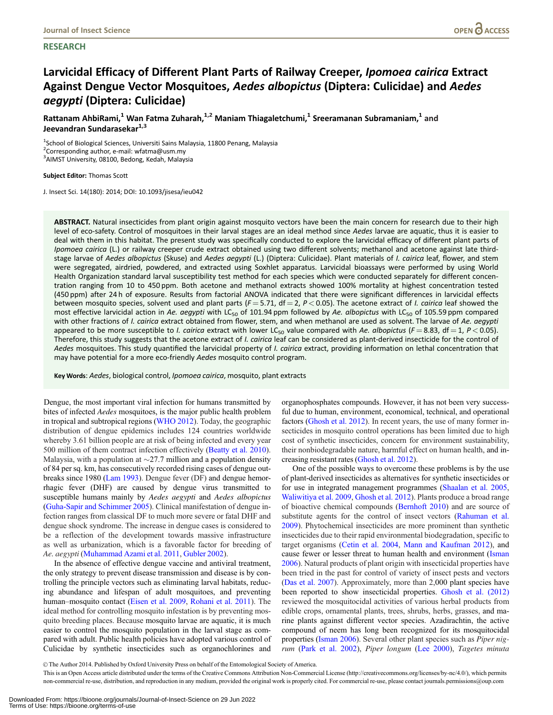# **RESEARCH**

# Larvicidal Efficacy of Different Plant Parts of Railway Creeper, Ipomoea cairica Extract Against Dengue Vector Mosquitoes, Aedes albopictus (Diptera: Culicidae) and Aedes aegypti (Diptera: Culicidae)

Rattanam AhbiRami,<sup>1</sup> Wan Fatma Zuharah,<sup>1,2</sup> Maniam Thiagaletchumi,<sup>1</sup> Sreeramanan Subramaniam,<sup>1</sup> and Jeevandran Sundarasekar<sup>1,3</sup>

<sup>1</sup>School of Biological Sciences, Universiti Sains Malaysia, 11800 Penang, Malaysia <sup>2</sup> Corresponding author, e-mail: wfatma@usm.my <sup>3</sup> AIMST University, 08100, Bedong, Kedah, Malaysia

Subject Editor: Thomas Scott

J. Insect Sci. 14(180): 2014; DOI: 10.1093/jisesa/ieu042

ABSTRACT. Natural insecticides from plant origin against mosquito vectors have been the main concern for research due to their high level of eco-safety. Control of mosquitoes in their larval stages are an ideal method since Aedes larvae are aquatic, thus it is easier to deal with them in this habitat. The present study was specifically conducted to explore the larvicidal efficacy of different plant parts of Ipomoea cairica (L.) or railway creeper crude extract obtained using two different solvents; methanol and acetone against late thirdstage larvae of Aedes albopictus (Skuse) and Aedes aegypti (L.) (Diptera: Culicidae). Plant materials of I. cairica leaf, flower, and stem were segregated, airdried, powdered, and extracted using Soxhlet apparatus. Larvicidal bioassays were performed by using World Health Organization standard larval susceptibility test method for each species which were conducted separately for different concentration ranging from 10 to 450 ppm. Both acetone and methanol extracts showed 100% mortality at highest concentration tested (450 ppm) after 24 h of exposure. Results from factorial ANOVA indicated that there were significant differences in larvicidal effects between mosquito species, solvent used and plant parts ( $F = 5.71$ , df = 2,  $P < 0.05$ ). The acetone extract of *I. cairica* leaf showed the most effective larvicidal action in Ae. aegypti with LC<sub>50</sub> of 101.94 ppm followed by Ae. albopictus with LC<sub>50</sub> of 105.59 ppm compared with other fractions of I. cairica extract obtained from flower, stem, and when methanol are used as solvent. The larvae of Ae. aegypti appeared to be more susceptible to *I. cairica* extract with lower LC<sub>50</sub> value compared with Ae. albopictus (F = 8.83, df = 1, P < 0.05). Therefore, this study suggests that the acetone extract of *I. cairica* leaf can be considered as plant-derived insecticide for the control of Aedes mosquitoes. This study quantified the larvicidal property of *I. cairica* extract, providing information on lethal concentration that may have potential for a more eco-friendly Aedes mosquito control program.

Key Words: Aedes, biological control, Ipomoea cairica, mosquito, plant extracts

Dengue, the most important viral infection for humans transmitted by bites of infected Aedes mosquitoes, is the major public health problem in tropical and subtropical regions [\(WHO 2012\)](#page-6-0). Today, the geographic distribution of dengue epidemics includes 124 countries worldwide whereby 3.61 billion people are at risk of being infected and every year 500 million of them contract infection effectively ([Beatty et al. 2010\)](#page-5-0). Malaysia, with a population at  $\sim$ 27.7 million and a population density of 84 per sq. km, has consecutively recorded rising cases of dengue outbreaks since 1980 [\(Lam 1993\)](#page-6-0). Dengue fever (DF) and dengue hemorrhagic fever (DHF) are caused by dengue virus transmitted to susceptible humans mainly by Aedes aegypti and Aedes albopictus ([Guha-Sapir and Schimmer 2005](#page-5-0)). Clinical manifestation of dengue infection ranges from classical DF to much more severe or fatal DHF and dengue shock syndrome. The increase in dengue cases is considered to be a reflection of the development towards massive infrastructure as well as urbanization, which is a favorable factor for breeding of Ae. aegypti [\(Muhammad Azami et al. 2011](#page-6-0), [Gubler 2002\)](#page-5-0).

In the absence of effective dengue vaccine and antiviral treatment, the only strategy to prevent disease transmission and disease is by controlling the principle vectors such as eliminating larval habitats, reducing abundance and lifespan of adult mosquitoes, and preventing human–mosquito contact [\(Eisen et al. 2009,](#page-5-0) [Rohani et al. 2011](#page-6-0)). The ideal method for controlling mosquito infestation is by preventing mosquito breeding places. Because mosquito larvae are aquatic, it is much easier to control the mosquito population in the larval stage as compared with adult. Public health policies have adopted various control of Culicidae by synthetic insecticides such as organochlorines and

organophosphates compounds. However, it has not been very successful due to human, environment, economical, technical, and operational factors [\(Ghosh et al. 2012](#page-5-0)). In recent years, the use of many former insecticides in mosquito control operations has been limited due to high cost of synthetic insecticides, concern for environment sustainability, their nonbiodegradable nature, harmful effect on human health, and increasing resistant rates [\(Ghosh et al. 2012\)](#page-5-0).

One of the possible ways to overcome these problems is by the use of plant-derived insecticides as alternatives for synthetic insecticides or for use in integrated management programmes [\(Shaalan et al. 2005,](#page-6-0) [Waliwitiya et al. 2009](#page-6-0), [Ghosh et al. 2012](#page-5-0)). Plants produce a broad range of bioactive chemical compounds [\(Bernhoft 2010\)](#page-5-0) and are source of substitute agents for the control of insect vectors [\(Rahuman et al.](#page-6-0) [2009](#page-6-0)). Phytochemical insecticides are more prominent than synthetic insecticides due to their rapid environmental biodegradation, specific to target organisms [\(Cetin et al. 2004](#page-5-0), [Mann and Kaufman 2012](#page-6-0)), and cause fewer or lesser threat to human health and environment [\(Isman](#page-5-0) [2006](#page-5-0)). Natural products of plant origin with insecticidal properties have been tried in the past for control of variety of insect pests and vectors ([Das et al. 2007\)](#page-5-0). Approximately, more than 2,000 plant species have been reported to show insecticidal properties. [Ghosh et al. \(2012\)](#page-5-0) reviewed the mosquitocidal activities of various herbal products from edible crops, ornamental plants, trees, shrubs, herbs, grasses, and marine plants against different vector species. Azadirachtin, the active compound of neem has long been recognized for its mosquitocidal properties ([Isman 2006\)](#page-5-0). Several other plant species such as Piper nigrum ([Park et al. 2002](#page-6-0)), Piper longum ([Lee 2000\)](#page-6-0), Tagetes minuta

V<sup>C</sup> The Author 2014. Published by Oxford University Press on behalf of the Entomological Society of America.

This is an Open Access article distributed under the terms of the Creative Commons Attribution Non-Commercial License (http://creativecommons.org/licenses/by-nc/4.0/), which permits non-commercial re-use, distribution, and reproduction in any medium, provided the original work is properly cited. For commercial re-use, please contact journals.permissions@oup.com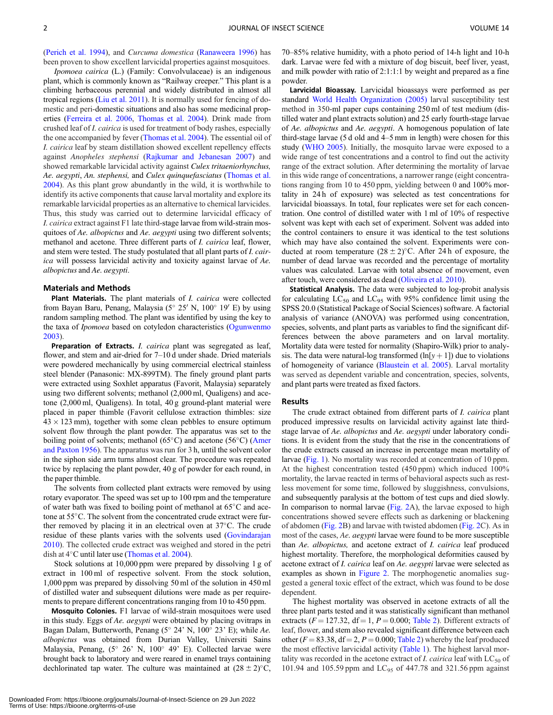([Perich et al. 1994\)](#page-6-0), and Curcuma domestica ([Ranaweera 1996\)](#page-6-0) has been proven to show excellent larvicidal properties against mosquitoes.

Ipomoea cairica (L.) (Family: Convolvulaceae) is an indigenous plant, which is commonly known as "Railway creeper." This plant is a climbing herbaceous perennial and widely distributed in almost all tropical regions ([Liu et al. 2011\)](#page-6-0). It is normally used for fencing of domestic and peri-domestic situations and also has some medicinal properties ([Ferreira et al. 2006](#page-5-0), [Thomas et al. 2004\)](#page-6-0). Drink made from crushed leaf of I. cairica is used for treatment of body rashes, especially the one accompanied by fever ([Thomas et al. 2004\)](#page-6-0). The essential oil of I. cairica leaf by steam distillation showed excellent repellency effects against Anopheles stephensi ([Rajkumar and Jebanesan 2007](#page-6-0)) and showed remarkable larvicidal activity against Culex tritaeniorhynchus, Ae. aegypti, An. stephensi, and Culex quinquefasciatus [\(Thomas et al.](#page-6-0) [2004\)](#page-6-0). As this plant grow abundantly in the wild, it is worthwhile to identify its active components that cause larval mortality and explore its remarkable larvicidal properties as an alternative to chemical larvicides. Thus, this study was carried out to determine larvicidal efficacy of I. cairica extract against F1 late third-stage larvae from wild-strain mosquitoes of Ae. albopictus and Ae. aegypti using two different solvents; methanol and acetone. Three different parts of I. cairica leaf, flower, and stem were tested. The study postulated that all plant parts of I. cairica will possess larvicidal activity and toxicity against larvae of Ae. albopictus and Ae. aegypti.

#### Materials and Methods

Plant Materials. The plant materials of *I. cairica* were collected from Bayan Baru, Penang, Malaysia (5° 25' N, 100° 19' E) by using random sampling method. The plant was identified by using the key to the taxa of *Ipomoea* based on cotyledon characteristics ([Ogunwenmo](#page-6-0) [2003\)](#page-6-0).

Preparation of Extracts. I. cairica plant was segregated as leaf, flower, and stem and air-dried for 7–10 d under shade. Dried materials were powdered mechanically by using commercial electrical stainless steel blender (Panasonic: MX-899TM). The finely ground plant parts were extracted using Soxhlet apparatus (Favorit, Malaysia) separately using two different solvents; methanol (2,000 ml, Qualigens) and acetone (2,000 ml, Qualigens). In total, 40 g ground-plant material were placed in paper thimble (Favorit cellulose extraction thimbles: size  $43 \times 123$  mm), together with some clean pebbles to ensure optimum solvent flow through the plant powder. The apparatus was set to the boiling point of solvents; methanol (65 $\degree$ C) and acetone (56 $\degree$ C) ([Amer](#page-5-0) [and Paxton 1956\)](#page-5-0). The apparatus was run for 3 h, until the solvent color in the siphon side arm turns almost clear. The procedure was repeated twice by replacing the plant powder, 40 g of powder for each round, in the paper thimble.

The solvents from collected plant extracts were removed by using rotary evaporator. The speed was set up to 100 rpm and the temperature of water bath was fixed to boiling point of methanol at  $65^{\circ}$ C and acetone at 55°C. The solvent from the concentrated crude extract were further removed by placing it in an electrical oven at  $37^{\circ}$ C. The crude residue of these plants varies with the solvents used [\(Govindarajan](#page-5-0) [2010\)](#page-5-0). The collected crude extract was weighed and stored in the petri dish at  $4^{\circ}$ C until later use ([Thomas et al. 2004](#page-6-0)).

Stock solutions at 10,000 ppm were prepared by dissolving 1 g of extract in 100 ml of respective solvent. From the stock solution, 1,000 ppm was prepared by dissolving 50 ml of the solution in 450 ml of distilled water and subsequent dilutions were made as per requirements to prepare different concentrations ranging from 10 to 450 ppm.

Mosquito Colonies. F1 larvae of wild-strain mosquitoes were used in this study. Eggs of Ae. aegypti were obtained by placing ovitraps in Bagan Dalam, Butterworth, Penang ( $5^{\circ}$  24' N,  $100^{\circ}$  23' E); while Ae. albopictus was obtained from Durian Valley, Universiti Sains Malaysia, Penang, (5° 26' N, 100° 49' E). Collected larvae were brought back to laboratory and were reared in enamel trays containing dechlorinated tap water. The culture was maintained at  $(28 \pm 2)$ °C, 70–85% relative humidity, with a photo period of 14-h light and 10-h dark. Larvae were fed with a mixture of dog biscuit, beef liver, yeast, and milk powder with ratio of 2:1:1:1 by weight and prepared as a fine powder.

Larvicidal Bioassay. Larvicidal bioassays were performed as per standard [World Health Organization \(2005\)](#page-6-0) larval susceptibility test method in 350-ml paper cups containing 250 ml of test medium (distilled water and plant extracts solution) and 25 early fourth-stage larvae of Ae. albopictus and Ae. aegypti. A homogenous population of late third-stage larvae (5 d old and 4–5 mm in length) were chosen for this study ([WHO 2005](#page-6-0)). Initially, the mosquito larvae were exposed to a wide range of test concentrations and a control to find out the activity range of the extract solution. After determining the mortality of larvae in this wide range of concentrations, a narrower range (eight concentrations ranging from 10 to 450 ppm, yielding between 0 and 100% mortality in 24 h of exposure) was selected as test concentrations for larvicidal bioassays. In total, four replicates were set for each concentration. One control of distilled water with 1 ml of 10% of respective solvent was kept with each set of experiment. Solvent was added into the control containers to ensure it was identical to the test solutions which may have also contained the solvent. Experiments were conducted at room temperature  $(28 \pm 2)$ °C. After 24 h of exposure, the number of dead larvae was recorded and the percentage of mortality values was calculated. Larvae with total absence of movement, even after touch, were considered as dead [\(Oliveira et al. 2010](#page-6-0)).

Statistical Analysis. The data were subjected to log-probit analysis for calculating  $LC_{50}$  and  $LC_{95}$  with 95% confidence limit using the SPSS 20.0 (Statistical Package of Social Sciences) software. A factorial analysis of variance (ANOVA) was performed using concentration, species, solvents, and plant parts as variables to find the significant differences between the above parameters and on larval mortality. Mortality data were tested for normality (Shapiro-Wilk) prior to analysis. The data were natural-log transformed  $(ln[y + 1])$  due to violations of homogeneity of variance ([Blaustein et al. 2005\)](#page-5-0). Larval mortality was served as dependent variable and concentration, species, solvents, and plant parts were treated as fixed factors.

#### Results

The crude extract obtained from different parts of *I. cairica* plant produced impressive results on larvicidal activity against late thirdstage larvae of Ae. albopictus and Ae. aegypti under laboratory conditions. It is evident from the study that the rise in the concentrations of the crude extracts caused an increase in percentage mean mortality of larvae ([Fig. 1](#page-3-0)). No mortality was recorded at concentration of 10 ppm. At the highest concentration tested (450 ppm) which induced 100% mortality, the larvae reacted in terms of behavioral aspects such as restless movement for some time, followed by sluggishness, convulsions, and subsequently paralysis at the bottom of test cups and died slowly. In comparison to normal larvae ([Fig. 2](#page-4-0)A), the larvae exposed to high concentrations showed severe effects such as darkening or blackening of abdomen ([Fig. 2](#page-4-0)B) and larvae with twisted abdomen ([Fig. 2](#page-4-0)C). As in most of the cases, Ae. aegypti larvae were found to be more susceptible than Ae. albopictus, and acetone extract of I. cairica leaf produced highest mortality. Therefore, the morphological deformities caused by acetone extract of I. cairica leaf on Ae. aegypti larvae were selected as examples as shown in [Figure 2.](#page-4-0) The morphogenetic anomalies suggested a general toxic effect of the extract, which was found to be dose dependent.

The highest mortality was observed in acetone extracts of all the three plant parts tested and it was statistically significant than methanol extracts ( $F = 127.32$ ,  $df = 1$ ,  $P = 0.000$ ; [Table 2\)](#page-5-0). Different extracts of leaf, flower, and stem also revealed significant difference between each other ( $F = 83.38$ , df = 2,  $P = 0.000$ ; [Table 2](#page-5-0)) whereby the leaf produced the most effective larvicidal activity ([Table 1](#page-4-0)). The highest larval mortality was recorded in the acetone extract of *I. cairica* leaf with  $LC_{50}$  of 101.94 and 105.59 ppm and  $LC_{95}$  of 447.78 and 321.56 ppm against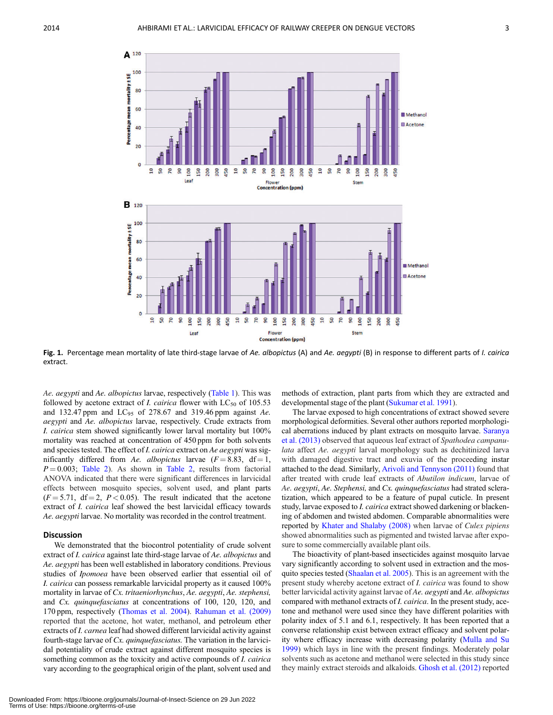<span id="page-3-0"></span>

Fig. 1. Percentage mean mortality of late third-stage larvae of Ae. albopictus (A) and Ae. aegypti (B) in response to different parts of I. cairica extract.

Ae. aegypti and Ae. albopictus larvae, respectively ([Table 1](#page-4-0)). This was followed by acetone extract of *I. cairica* flower with  $LC_{50}$  of 105.53 and 132.47 ppm and  $LC_{95}$  of 278.67 and 319.46 ppm against Ae. aegypti and Ae. albopictus larvae, respectively. Crude extracts from I. cairica stem showed significantly lower larval mortality but 100% mortality was reached at concentration of 450 ppm for both solvents and species tested. The effect of *I. cairica* extract on *Ae aegypti* was significantly differed from Ae. albopictus larvae  $(F = 8.83, df = 1,$  $P = 0.003$ ; [Table 2\)](#page-5-0). As shown in [Table 2,](#page-5-0) results from factorial ANOVA indicated that there were significant differences in larvicidal effects between mosquito species, solvent used, and plant parts  $(F = 5.71, df = 2, P < 0.05)$ . The result indicated that the acetone extract of *I. cairica* leaf showed the best larvicidal efficacy towards Ae. aegypti larvae. No mortality was recorded in the control treatment.

## Discussion

We demonstrated that the biocontrol potentiality of crude solvent extract of I. cairica against late third-stage larvae of Ae. albopictus and Ae. aegypti has been well established in laboratory conditions. Previous studies of Ipomoea have been observed earlier that essential oil of I. cairica can possess remarkable larvicidal property as it caused 100% mortality in larvae of Cx. tritaeniorhynchus, Ae. aegypti, Ae. stephensi, and Cx. quinquefasciatus at concentrations of 100, 120, 120, and 170 ppm, respectively [\(Thomas et al. 2004](#page-6-0)). [Rahuman et al. \(2009\)](#page-6-0) reported that the acetone, hot water, methanol, and petroleum ether extracts of I. carnea leaf had showed different larvicidal activity against fourth-stage larvae of Cx. quinque fasciatus. The variation in the larvicidal potentiality of crude extract against different mosquito species is something common as the toxicity and active compounds of *I. cairica* vary according to the geographical origin of the plant, solvent used and

methods of extraction, plant parts from which they are extracted and developmental stage of the plant ([Sukumar et al. 1991](#page-6-0)).

The larvae exposed to high concentrations of extract showed severe morphological deformities. Several other authors reported morphological aberrations induced by plant extracts on mosquito larvae. [Saranya](#page-6-0) [et al. \(2013\)](#page-6-0) observed that aqueous leaf extract of Spathodea campanulata affect Ae. aegypti larval morphology such as dechitinized larva with damaged digestive tract and exuvia of the proceeding instar attached to the dead. Similarly, [Arivoli and Tennyson \(2011\)](#page-5-0) found that after treated with crude leaf extracts of Abutilon indicum, larvae of Ae. aegypti, Ae. Stephensi, and Cx. quinquefasciatus had strated scleratization, which appeared to be a feature of pupal cuticle. In present study, larvae exposed to I. cairica extract showed darkening or blackening of abdomen and twisted abdomen. Comparable abnormalities were reported by [Khater and Shalaby \(2008\)](#page-6-0) when larvae of Culex pipiens showed abnormalities such as pigmented and twisted larvae after exposure to some commercially available plant oils.

The bioactivity of plant-based insecticides against mosquito larvae vary significantly according to solvent used in extraction and the mosquito species tested ([Shaalan et al. 2005\)](#page-6-0). This is an agreement with the present study whereby acetone extract of *I. cairica* was found to show better larvicidal activity against larvae of Ae. aegypti and Ae. albopictus compared with methanol extracts of I. cairica. In the present study, acetone and methanol were used since they have different polarities with polarity index of 5.1 and 6.1, respectively. It has been reported that a converse relationship exist between extract efficacy and solvent polarity where efficacy increase with decreasing polarity [\(Mulla and Su](#page-6-0) [1999](#page-6-0)) which lays in line with the present findings. Moderately polar solvents such as acetone and methanol were selected in this study since they mainly extract steroids and alkaloids. [Ghosh et al. \(2012\)](#page-5-0) reported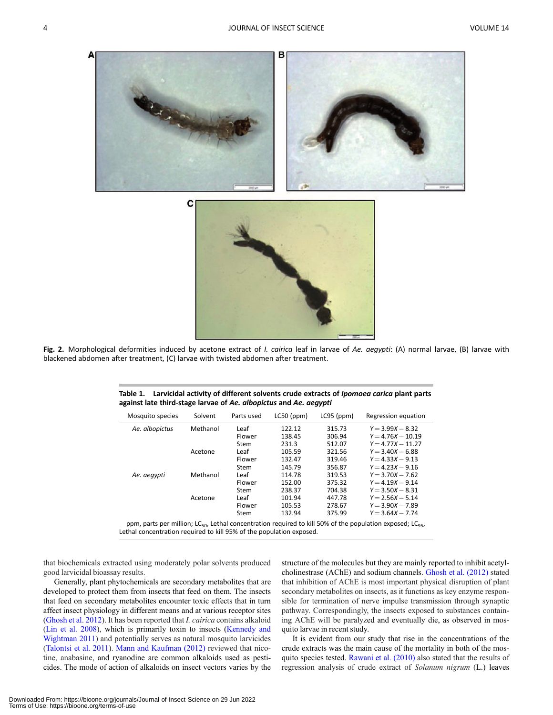<span id="page-4-0"></span>

Fig. 2. Morphological deformities induced by acetone extract of *I. cairica* leaf in larvae of Ae. aegypti: (A) normal larvae, (B) larvae with blackened abdomen after treatment, (C) larvae with twisted abdomen after treatment.

| Mosquito species | Solvent  | Parts used | $LCSO$ (ppm) | $LC95$ (ppm) | Regression equation |
|------------------|----------|------------|--------------|--------------|---------------------|
| Ae. albopictus   | Methanol | Leaf       | 122.12       | 315.73       | $Y = 3.99X - 8.32$  |
|                  |          | Flower     | 138.45       | 306.94       | $Y = 4.76X - 10.19$ |
|                  |          | Stem       | 231.3        | 512.07       | $Y = 4.77X - 11.27$ |
|                  | Acetone  | Leaf       | 105.59       | 321.56       | $Y = 3.40X - 6.88$  |
|                  |          | Flower     | 132.47       | 319.46       | $Y = 4.33X - 9.13$  |
|                  |          | Stem       | 145.79       | 356.87       | $Y = 4.23X - 9.16$  |
| Ae. aegypti      | Methanol | Leaf       | 114.78       | 319.53       | $Y = 3.70X - 7.62$  |
|                  |          | Flower     | 152.00       | 375.32       | $Y = 4.19X - 9.14$  |
|                  |          | Stem       | 238.37       | 704.38       | $Y = 3.50X - 8.31$  |
|                  | Acetone  | Leaf       | 101.94       | 447.78       | $Y = 2.56X - 5.14$  |
|                  |          | Flower     | 105.53       | 278.67       | $Y = 3.90X - 7.89$  |
|                  |          | Stem       | 132.94       | 375.99       | $Y = 3.64X - 7.74$  |
|                  |          |            |              |              |                     |

| Table 1. Larvicidal activity of different solvents crude extracts of <i>Ipomoea carica</i> plant parts |
|--------------------------------------------------------------------------------------------------------|
| against late third-stage larvae of Ae. albopictus and Ae. aegypti                                      |

ppm, parts per million; LC<sub>50</sub>, Lethal concentration required to kill 50% of the population exposed; LC<sub>95</sub>, Lethal concentration required to kill 95% of the population exposed.

that biochemicals extracted using moderately polar solvents produced good larvicidal bioassay results.

Generally, plant phytochemicals are secondary metabolites that are developed to protect them from insects that feed on them. The insects that feed on secondary metabolites encounter toxic effects that in turn affect insect physiology in different means and at various receptor sites ([Ghosh et al. 2012\)](#page-5-0). It has been reported that I. cairica contains alkaloid ([Lin et al. 2008](#page-6-0)), which is primarily toxin to insects [\(Kennedy and](#page-6-0) [Wightman 2011\)](#page-6-0) and potentially serves as natural mosquito larvicides ([Talontsi et al. 2011](#page-6-0)). [Mann and Kaufman \(2012\)](#page-6-0) reviewed that nicotine, anabasine, and ryanodine are common alkaloids used as pesticides. The mode of action of alkaloids on insect vectors varies by the

structure of the molecules but they are mainly reported to inhibit acetylcholinestrase (AChE) and sodium channels. [Ghosh et al. \(2012\)](#page-5-0) stated that inhibition of AChE is most important physical disruption of plant secondary metabolites on insects, as it functions as key enzyme responsible for termination of nerve impulse transmission through synaptic pathway. Correspondingly, the insects exposed to substances containing AChE will be paralyzed and eventually die, as observed in mosquito larvae in recent study.

It is evident from our study that rise in the concentrations of the crude extracts was the main cause of the mortality in both of the mosquito species tested. [Rawani et al. \(2010\)](#page-6-0) also stated that the results of regression analysis of crude extract of Solanum nigrum (L.) leaves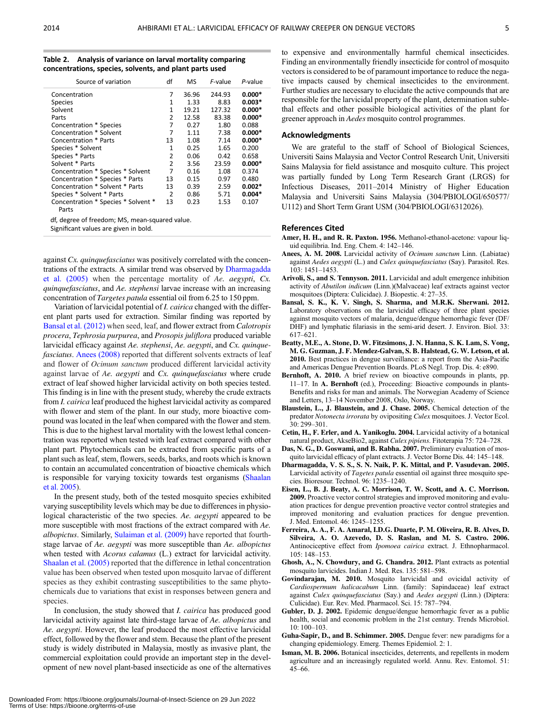<span id="page-5-0"></span>

| Table 2. | Analysis of variance on larval mortality comparing      |
|----------|---------------------------------------------------------|
|          | concentrations, species, solvents, and plant parts used |

| Source of variation                          | df             | <b>MS</b> | F-value | P-value  |
|----------------------------------------------|----------------|-----------|---------|----------|
| Concentration                                | 7              | 36.96     | 244.93  | $0.000*$ |
| <b>Species</b>                               | 1              | 1.33      | 8.83    | $0.003*$ |
| Solvent                                      | 1              | 19.21     | 127.32  | $0.000*$ |
| Parts                                        | $\mathfrak z$  | 12.58     | 83.38   | $0.000*$ |
| Concentration * Species                      | 7              | 0.27      | 1.80    | 0.088    |
| Concentration * Solvent                      | 7              | 1.11      | 7.38    | $0.000*$ |
| Concentration * Parts                        | 13             | 1.08      | 7.14    | $0.000*$ |
| Species * Solvent                            | $\mathbf{1}$   | 0.25      | 1.65    | 0.200    |
| Species * Parts                              | 2              | 0.06      | 0.42    | 0.658    |
| Solvent * Parts                              | $\overline{2}$ | 3.56      | 23.59   | $0.000*$ |
| Concentration * Species * Solvent            | 7              | 0.16      | 1.08    | 0.374    |
| Concentration * Species * Parts              | 13             | 0.15      | 0.97    | 0.480    |
| Concentration * Solvent * Parts              | 13             | 0.39      | 2.59    | $0.002*$ |
| Species * Solvent * Parts                    |                | 0.86      | 5.71    | $0.004*$ |
| Concentration * Species * Solvent *<br>Parts | 13             | 0.23      | 1.53    | 0.107    |

df, degree of freedom; MS, mean-squared value.

Significant values are given in bold.

against Cx. quinquefasciatus was positively correlated with the concentrations of the extracts. A similar trend was observed by Dharmagadda et al. (2005) when the percentage mortality of Ae. aegypti, Cx. quinquefasciatus, and Ae. stephensi larvae increase with an increasing concentration of Targetes patula essential oil from 6.25 to 150 ppm.

Variation of larvicidal potential of I. cairica changed with the different plant parts used for extraction. Similar finding was reported by Bansal et al. (2012) when seed, leaf, and flower extract from Calotropis procera, Tephrosia purpurea, and Prosopis juliflora produced variable larvicidal efficacy against Ae. stephensi, Ae. aegypti, and Cx. quinquefasciatus. Anees (2008) reported that different solvents extracts of leaf and flower of Ocimum sanctum produced different larvicidal activity against larvae of Ae. aegypti and Cx. quinquefasciatus where crude extract of leaf showed higher larvicidal activity on both species tested. This finding is in line with the present study, whereby the crude extracts from I. cairica leaf produced the highest larvicidal activity as compared with flower and stem of the plant. In our study, more bioactive compound was located in the leaf when compared with the flower and stem. This is due to the highest larval mortality with the lowest lethal concentration was reported when tested with leaf extract compared with other plant part. Phytochemicals can be extracted from specific parts of a plant such as leaf, stem, flowers, seeds, barks, and roots which is known to contain an accumulated concentration of bioactive chemicals which is responsible for varying toxicity towards test organisms ([Shaalan](#page-6-0) [et al. 2005\)](#page-6-0).

In the present study, both of the tested mosquito species exhibited varying susceptibility levels which may be due to differences in physiological characteristic of the two species. Ae. *aegypti* appeared to be more susceptible with most fractions of the extract compared with Ae. albopictus. Similarly, [Sulaiman et al. \(2009\)](#page-6-0) have reported that fourthstage larvae of Ae. aegypti was more susceptible than Ae. albopictus when tested with *Acorus calamus* (L.) extract for larvicidal activity. [Shaalan et al. \(2005\)](#page-6-0) reported that the difference in lethal concentration value has been observed when tested upon mosquito larvae of different species as they exhibit contrasting susceptibilities to the same phytochemicals due to variations that exist in responses between genera and species.

In conclusion, the study showed that I. cairica has produced good larvicidal activity against late third-stage larvae of Ae. albopictus and Ae. aegypti. However, the leaf produced the most effective larvicidal effect, followed by the flower and stem. Because the plant of the present study is widely distributed in Malaysia, mostly as invasive plant, the commercial exploitation could provide an important step in the development of new novel plant-based insecticide as one of the alternatives

to expensive and environmentally harmful chemical insecticides. Finding an environmentally friendly insecticide for control of mosquito vectors is considered to be of paramount importance to reduce the negative impacts caused by chemical insecticides to the environment. Further studies are necessary to elucidate the active compounds that are responsible for the larvicidal property of the plant, determination sublethal effects and other possible biological activities of the plant for greener approach in Aedes mosquito control programmes.

## Acknowledgments

We are grateful to the staff of School of Biological Sciences, Universiti Sains Malaysia and Vector Control Research Unit, Universiti Sains Malaysia for field assistance and mosquito culture. This project was partially funded by Long Term Research Grant (LRGS) for Infectious Diseases, 2011–2014 Ministry of Higher Education Malaysia and Universiti Sains Malaysia (304/PBIOLOGI/650577/ U112) and Short Term Grant USM (304/PBIOLOGI/6312026).

#### References Cited

- Amer, H. H., and R. R. Paxton. 1956. Methanol-ethanol-acetone: vapour liquid equilibria. Ind. Eng. Chem. 4: 142–146.
- Anees, A. M. 2008. Larvicidal activity of Ocimum sanctum Linn. (Labiatae) against Aedes aegypti (L.) and Culex quinquefasciatus (Say). Parasitol. Res. 103: 1451–1453.
- Arivoli, S., and S. Tennyson. 2011. Larvicidal and adult emergence inhibition activity of Abutilon indicum (Linn.)(Malvaceae) leaf extracts against vector mosquitoes (Diptera: Culicidae). J. Biopestic. 4: 27–35.
- Bansal, S. K., K. V. Singh, S. Sharma, and M.R.K. Sherwani. 2012. Laboratory observations on the larvicidal efficacy of three plant species against mosquito vectors of malaria, dengue/dengue hemorrhagic fever (DF/ DHF) and lymphatic filariasis in the semi-arid desert. J. Environ. Biol. 33: 617–621.
- Beatty, M.E., A. Stone, D. W. Fitzsimons, J. N. Hanna, S. K. Lam, S. Vong, M. G. Guzman, J. F. Mendez-Galvan, S. B. Halstead, G. W. Letson, et al. 2010. Best practices in dengue surveillance: a report from the Asia-Pacific and Americas Dengue Prevention Boards. PLoS Negl. Trop. Dis. 4: e890.
- Bernhoft, A. 2010. A brief review on bioactive compounds in plants, pp. 11–17. In A. Bernhoft (ed.), Proceeding: Bioactive compounds in plants-Benefits and risks for man and animals. The Norwegian Academy of Science and Letters, 13–14 November 2008, Oslo, Norway.
- Blaustein, L., J. Blaustein, and J. Chase. 2005. Chemical detection of the predator Notonecta irrorata by ovipositing Culex mosquitoes. J. Vector Ecol. 30: 299–301.
- Cetin, H., F. Erler, and A. Yanikoglu. 2004. Larvicidal activity of a botanical natural product, AkseBio2, against Culex pipiens. Fitoterapia 75: 724–728.
- Das, N. G., D. Goswami, and B. Rabha. 2007. Preliminary evaluation of mosquito larvicidal efficacy of plant extracts. J. Vector Borne Dis. 44: 145–148.
- Dharmagadda, V. S. S., S. N. Naik, P. K. Mittal, and P. Vasudevan. 2005. Larvicidal activity of Tagetes patula essential oil against three mosquito species. Bioresour. Technol. 96: 1235–1240.
- Eisen, L., B. J. Beaty, A. C. Morrison, T. W. Scott, and A. C. Morrison. 2009. Proactive vector control strategies and improved monitoring and evaluation practices for dengue prevention proactive vector control strategies and improved monitoring and evaluation practices for dengue prevention. J. Med. Entomol. 46: 1245–1255.
- Ferreira, A. A., F. A. Amaral, I.D.G. Duarte, P. M. Oliveira, R. B. Alves, D. Silveira, A. O. Azevedo, D. S. Raslan, and M. S. Castro. 2006. Antinociceptive effect from Ipomoea cairica extract. J. Ethnopharmacol. 105: 148–153.
- Ghosh, A., N. Chowdury, and G. Chandra. 2012. Plant extracts as potential mosquito larvicides. Indian J. Med. Res. 135: 581–598.
- Govindarajan, M. 2010. Mosquito larvicidal and ovicidal activity of Cardiospermum halicacabum Linn. (family: Sapindaceae) leaf extract against Culex quinquefasciatus (Say.) and Aedes aegypti (Linn.) (Diptera: Culicidae). Eur. Rev. Med. Pharmacol. Sci. 15: 787–794.
- Gubler, D. J. 2002. Epidemic dengue/dengue hemorrhagic fever as a public health, social and economic problem in the 21st century. Trends Microbiol. 10: 100–103.
- Guha-Sapir, D., and B. Schimmer. 2005. Dengue fever: new paradigms for a changing epidemiology. Emerg. Themes Epidemiol. 2: 1.
- Isman, M. B. 2006. Botanical insecticides, deterrents, and repellents in modern agriculture and an increasingly regulated world. Annu. Rev. Entomol. 51: 45–66.